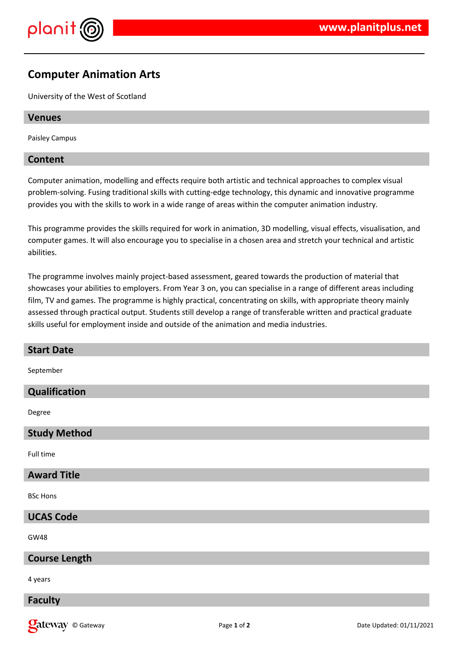

# **Computer Animation Arts**

University of the West of Scotland

## **Venues**

Paisley Campus

## **Content**

Computer animation, modelling and effects require both artistic and technical approaches to complex visual problem-solving. Fusing traditional skills with cutting-edge technology, this dynamic and innovative programme provides you with the skills to work in a wide range of areas within the computer animation industry.

This programme provides the skills required for work in animation, 3D modelling, visual effects, visualisation, and computer games. It will also encourage you to specialise in a chosen area and stretch your technical and artistic abilities.

The programme involves mainly project-based assessment, geared towards the production of material that showcases your abilities to employers. From Year 3 on, you can specialise in a range of different areas including film, TV and games. The programme is highly practical, concentrating on skills, with appropriate theory mainly assessed through practical output. Students still develop a range of transferable written and practical graduate skills useful for employment inside and outside of the animation and media industries.

| <b>Start Date</b>    |
|----------------------|
| September            |
| Qualification        |
| Degree               |
| <b>Study Method</b>  |
| Full time            |
| <b>Award Title</b>   |
| <b>BSc Hons</b>      |
| <b>UCAS Code</b>     |
| <b>GW48</b>          |
| <b>Course Length</b> |
| 4 years              |
| <b>Faculty</b>       |